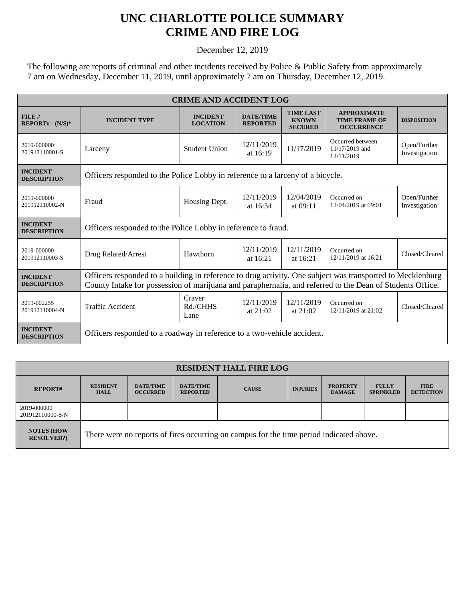## **UNC CHARLOTTE POLICE SUMMARY CRIME AND FIRE LOG**

December 12, 2019

The following are reports of criminal and other incidents received by Police & Public Safety from approximately 7 am on Wednesday, December 11, 2019, until approximately 7 am on Thursday, December 12, 2019.

| <b>CRIME AND ACCIDENT LOG</b>         |                                                                                                                                                                                                                         |                                    |                                     |                                                    |                                                                 |                               |  |
|---------------------------------------|-------------------------------------------------------------------------------------------------------------------------------------------------------------------------------------------------------------------------|------------------------------------|-------------------------------------|----------------------------------------------------|-----------------------------------------------------------------|-------------------------------|--|
| FILE#<br>$REPORT# - (N/S)*$           | <b>INCIDENT TYPE</b>                                                                                                                                                                                                    | <b>INCIDENT</b><br><b>LOCATION</b> | <b>DATE/TIME</b><br><b>REPORTED</b> | <b>TIME LAST</b><br><b>KNOWN</b><br><b>SECURED</b> | <b>APPROXIMATE</b><br><b>TIME FRAME OF</b><br><b>OCCURRENCE</b> | <b>DISPOSITION</b>            |  |
| 2019-000000<br>201912110001-S         | Larceny                                                                                                                                                                                                                 | <b>Student Union</b>               | 12/11/2019<br>at $16:19$            | 11/17/2019                                         | Occurred between<br>11/17/2019 and<br>12/11/2019                | Open/Further<br>Investigation |  |
| <b>INCIDENT</b><br><b>DESCRIPTION</b> | Officers responded to the Police Lobby in reference to a larceny of a bicycle.                                                                                                                                          |                                    |                                     |                                                    |                                                                 |                               |  |
| 2019-000000<br>201912110002-N         | Fraud                                                                                                                                                                                                                   | Housing Dept.                      | 12/11/2019<br>at $16:34$            | 12/04/2019<br>at $09:11$                           | Occurred on<br>12/04/2019 at 09:01                              | Open/Further<br>Investigation |  |
| <b>INCIDENT</b><br><b>DESCRIPTION</b> | Officers responded to the Police Lobby in reference to fraud.                                                                                                                                                           |                                    |                                     |                                                    |                                                                 |                               |  |
| 2019-000000<br>201912110003-S         | Drug Related/Arrest                                                                                                                                                                                                     | Hawthorn                           | 12/11/2019<br>at $16:21$            | 12/11/2019<br>at 16:21                             | Occurred on<br>12/11/2019 at 16:21                              | Closed/Cleared                |  |
| <b>INCIDENT</b><br><b>DESCRIPTION</b> | Officers responded to a building in reference to drug activity. One subject was transported to Mecklenburg<br>County Intake for possession of marijuana and paraphernalia, and referred to the Dean of Students Office. |                                    |                                     |                                                    |                                                                 |                               |  |
| 2019-002255<br>201912110004-N         | <b>Traffic Accident</b>                                                                                                                                                                                                 | Craver<br>Rd./CHHS<br>Lane         | 12/11/2019<br>at $21:02$            | 12/11/2019<br>at $21:02$                           | Occurred on<br>12/11/2019 at 21:02                              | Closed/Cleared                |  |
| <b>INCIDENT</b><br><b>DESCRIPTION</b> | Officers responded to a roadway in reference to a two-vehicle accident.                                                                                                                                                 |                                    |                                     |                                                    |                                                                 |                               |  |

| <b>RESIDENT HALL FIRE LOG</b>          |                                                                                         |                                     |                                     |              |                 |                                  |                                  |                                 |
|----------------------------------------|-----------------------------------------------------------------------------------------|-------------------------------------|-------------------------------------|--------------|-----------------|----------------------------------|----------------------------------|---------------------------------|
| <b>REPORT#</b>                         | <b>RESIDENT</b><br><b>HALL</b>                                                          | <b>DATE/TIME</b><br><b>OCCURRED</b> | <b>DATE/TIME</b><br><b>REPORTED</b> | <b>CAUSE</b> | <b>INJURIES</b> | <b>PROPERTY</b><br><b>DAMAGE</b> | <b>FULLY</b><br><b>SPRINKLED</b> | <b>FIRE</b><br><b>DETECTION</b> |
| 2019-000000<br>201912110000-S/N        |                                                                                         |                                     |                                     |              |                 |                                  |                                  |                                 |
| <b>NOTES (HOW)</b><br><b>RESOLVED?</b> | There were no reports of fires occurring on campus for the time period indicated above. |                                     |                                     |              |                 |                                  |                                  |                                 |